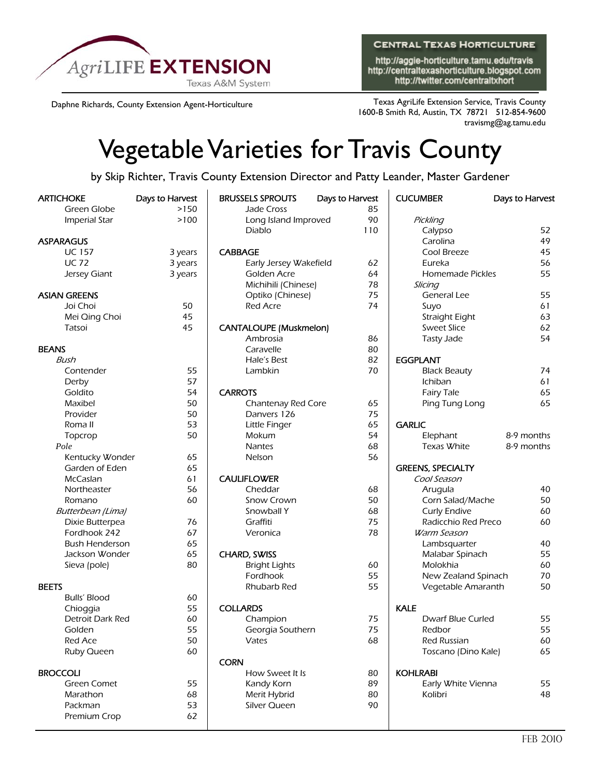

**CENTRAL TEXAS HORTICULTURE** 

http://aggie-horticulture.tamu.edu/travis http://centraltexashorticulture.blogspot.com http://twitter.com/centraltxhort

Daphne Richards, County Extension Agent-Horticulture Texas AgriLife Extension Service, Travis County 1600-B Smith Rd, Austin, TX 78721 512-854-9600 travismg@ag.tamu.edu

## Vegetable Varieties for Travis County

by Skip Richter, Travis County Extension Director and Patty Leander, Master Gardener

| <b>ARTICHOKE</b>         | Days to Harvest | <b>BRUSSELS SPROUTS</b>       | Days to Harvest | <b>CUCUMBER</b> |                          | Days to Harvest |
|--------------------------|-----------------|-------------------------------|-----------------|-----------------|--------------------------|-----------------|
| Green Globe              | >150            | Jade Cross                    | 85              |                 |                          |                 |
| Imperial Star            | >100            | Long Island Improved          | 90              | Pickling        |                          |                 |
|                          |                 | Diablo                        | 110             |                 | Calypso                  | 52              |
| <b>ASPARAGUS</b>         |                 |                               |                 |                 | Carolina                 | 49              |
| <b>UC 157</b>            | 3 years         | <b>CABBAGE</b>                |                 |                 | Cool Breeze              | 45              |
| <b>UC 72</b>             | 3 years         | Early Jersey Wakefield        | 62              |                 | Eureka                   | 56              |
| Jersey Giant             | 3 years         | Golden Acre                   |                 | 64              | Homemade Pickles         | 55              |
|                          |                 | Michihili (Chinese)           |                 | 78<br>Slicing   |                          |                 |
| <b>ASIAN GREENS</b>      |                 | Optiko (Chinese)              | 75              |                 | General Lee              | 55              |
| Joi Choi                 | 50              | <b>Red Acre</b>               |                 | 74              | Suyo                     | 61              |
| Mei Qing Choi            | 45              |                               |                 |                 | Straight Eight           | 63              |
| Tatsoi                   | 45              | <b>CANTALOUPE (Muskmelon)</b> |                 |                 | <b>Sweet Slice</b>       | 62              |
|                          |                 | Ambrosia                      | 86              |                 | <b>Tasty Jade</b>        | 54              |
| <b>BEANS</b>             |                 | Caravelle                     | 80              |                 |                          |                 |
| Bush                     |                 | Hale's Best                   | 82              | <b>EGGPLANT</b> |                          |                 |
| Contender                | 55              | Lambkin                       | 70              |                 | <b>Black Beauty</b>      | 74              |
| Derby                    | 57              |                               |                 |                 | Ichiban                  | 61              |
| Goldito                  | 54              | <b>CARROTS</b>                |                 |                 | <b>Fairy Tale</b>        | 65              |
| Maxibel                  | 50              | Chantenay Red Core            | 65              |                 | Ping Tung Long           | 65              |
| Provider                 | 50              | Danvers 126                   | 75              |                 |                          |                 |
| Roma II                  | 53              | Little Finger                 | 65              | <b>GARLIC</b>   |                          |                 |
| Topcrop                  | 50              | Mokum                         |                 | 54              | Elephant                 | 8-9 months      |
| Pole                     |                 | Nantes                        | 68              |                 | Texas White              | 8-9 months      |
| Kentucky Wonder          | 65              | Nelson                        | 56              |                 |                          |                 |
| Garden of Eden           | 65              |                               |                 |                 | <b>GREENS, SPECIALTY</b> |                 |
| McCaslan                 | 61              | <b>CAULIFLOWER</b>            |                 |                 | Cool Season              |                 |
| Northeaster              | 56              | Cheddar                       | 68              |                 | Arugula                  | 40              |
| Romano                   | 60              | Snow Crown                    | 50              |                 | Corn Salad/Mache         | 50              |
| <b>Butterbean</b> (Lima) |                 | Snowball Y                    | 68              |                 | <b>Curly Endive</b>      | 60              |
| Dixie Butterpea          | 76              | Graffiti                      | 75              |                 | Radicchio Red Preco      | 60              |
| Fordhook 242             | 67              | Veronica                      | 78              |                 | <b>Warm Season</b>       |                 |
| <b>Bush Henderson</b>    | 65              |                               |                 |                 | Lambsquarter             | 40              |
| Jackson Wonder           | 65              | CHARD, SWISS                  |                 |                 | Malabar Spinach          | 55              |
| Sieva (pole)             | 80              | <b>Bright Lights</b>          | 60              |                 | Molokhia                 | 60              |
|                          |                 | Fordhook                      | 55              |                 | New Zealand Spinach      | 70              |
| <b>BEETS</b>             |                 | Rhubarb Red                   | 55              |                 | Vegetable Amaranth       | 50              |
| Bulls' Blood             | 60              |                               |                 |                 |                          |                 |
| Chioggia                 | 55              | <b>COLLARDS</b>               |                 | <b>KALE</b>     |                          |                 |
| <b>Detroit Dark Red</b>  | 60              | Champion                      | 75              |                 | Dwarf Blue Curled        | 55              |
| Golden                   | 55              | Georgia Southern              | 75              |                 | Redbor                   | 55              |
| <b>Red Ace</b>           | 50              | Vates                         | 68              |                 | Red Russian              | 60              |
| Ruby Queen               | 60              |                               |                 |                 | Toscano (Dino Kale)      | 65              |
|                          |                 | <b>CORN</b>                   |                 |                 |                          |                 |
| <b>BROCCOLI</b>          |                 | How Sweet It Is               | 80              | <b>KOHLRABI</b> |                          |                 |
| <b>Green Comet</b>       | 55              | Kandy Korn                    | 89              |                 | Early White Vienna       | 55              |
| Marathon                 | 68              | Merit Hybrid                  | 80              |                 | Kolibri                  | 48              |
| Packman                  | 53              | Silver Queen                  | 90              |                 |                          |                 |
| Premium Crop             | 62              |                               |                 |                 |                          |                 |
|                          |                 |                               |                 |                 |                          |                 |